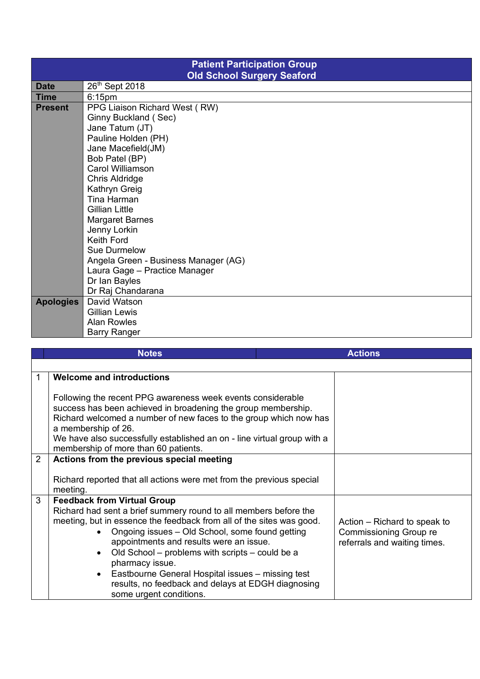| <b>Patient Participation Group</b> |                                      |  |  |  |
|------------------------------------|--------------------------------------|--|--|--|
| <b>Old School Surgery Seaford</b>  |                                      |  |  |  |
| <b>Date</b>                        | 26th Sept 2018                       |  |  |  |
| <b>Time</b>                        | $6:15$ pm                            |  |  |  |
| <b>Present</b>                     | PPG Liaison Richard West (RW)        |  |  |  |
|                                    | Ginny Buckland (Sec)                 |  |  |  |
|                                    | Jane Tatum (JT)                      |  |  |  |
|                                    | Pauline Holden (PH)                  |  |  |  |
|                                    | Jane Macefield(JM)                   |  |  |  |
|                                    | Bob Patel (BP)                       |  |  |  |
|                                    | Carol Williamson                     |  |  |  |
|                                    | Chris Aldridge                       |  |  |  |
|                                    | Kathryn Greig                        |  |  |  |
|                                    | Tina Harman                          |  |  |  |
|                                    | Gillian Little                       |  |  |  |
|                                    | <b>Margaret Barnes</b>               |  |  |  |
|                                    | Jenny Lorkin                         |  |  |  |
|                                    | Keith Ford                           |  |  |  |
|                                    | Sue Durmelow                         |  |  |  |
|                                    | Angela Green - Business Manager (AG) |  |  |  |
|                                    | Laura Gage - Practice Manager        |  |  |  |
|                                    | Dr Ian Bayles                        |  |  |  |
|                                    | Dr Raj Chandarana                    |  |  |  |
| Apologies                          | David Watson                         |  |  |  |
|                                    | Gillian Lewis                        |  |  |  |
|                                    | <b>Alan Rowles</b>                   |  |  |  |
|                                    | <b>Barry Ranger</b>                  |  |  |  |

|                | <b>Notes</b>                                                                                                                                                                                                                                                                                                                                                                                                                                                                                                                    | <b>Actions</b> |                                                                                               |
|----------------|---------------------------------------------------------------------------------------------------------------------------------------------------------------------------------------------------------------------------------------------------------------------------------------------------------------------------------------------------------------------------------------------------------------------------------------------------------------------------------------------------------------------------------|----------------|-----------------------------------------------------------------------------------------------|
|                |                                                                                                                                                                                                                                                                                                                                                                                                                                                                                                                                 |                |                                                                                               |
|                | <b>Welcome and introductions</b>                                                                                                                                                                                                                                                                                                                                                                                                                                                                                                |                |                                                                                               |
|                | Following the recent PPG awareness week events considerable<br>success has been achieved in broadening the group membership.<br>Richard welcomed a number of new faces to the group which now has<br>a membership of 26.<br>We have also successfully established an on - line virtual group with a<br>membership of more than 60 patients.                                                                                                                                                                                     |                |                                                                                               |
| $\overline{2}$ | Actions from the previous special meeting                                                                                                                                                                                                                                                                                                                                                                                                                                                                                       |                |                                                                                               |
|                | Richard reported that all actions were met from the previous special<br>meeting.                                                                                                                                                                                                                                                                                                                                                                                                                                                |                |                                                                                               |
| 3              | <b>Feedback from Virtual Group</b><br>Richard had sent a brief summery round to all members before the<br>meeting, but in essence the feedback from all of the sites was good.<br>Ongoing issues - Old School, some found getting<br>$\bullet$<br>appointments and results were an issue.<br>Old School – problems with scripts – could be a<br>$\bullet$<br>pharmacy issue.<br>Eastbourne General Hospital issues - missing test<br>$\bullet$<br>results, no feedback and delays at EDGH diagnosing<br>some urgent conditions. |                | Action – Richard to speak to<br><b>Commissioning Group re</b><br>referrals and waiting times. |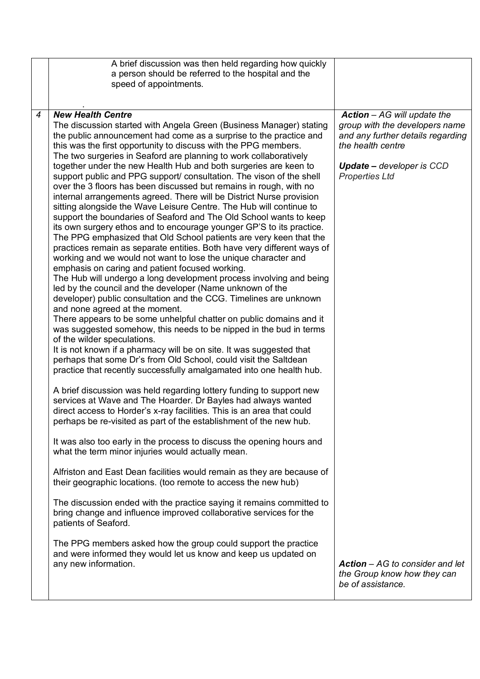| <b>New Health Centre</b><br>$\overline{4}$<br>$Action - AG$ will update the<br>group with the developers name<br>The discussion started with Angela Green (Business Manager) stating<br>and any further details regarding<br>the public announcement had come as a surprise to the practice and<br>this was the first opportunity to discuss with the PPG members.<br>the health centre<br>The two surgeries in Seaford are planning to work collaboratively<br>together under the new Health Hub and both surgeries are keen to<br><b>Update</b> – developer is CCD<br>support public and PPG support/ consultation. The vison of the shell<br><b>Properties Ltd</b><br>over the 3 floors has been discussed but remains in rough, with no<br>internal arrangements agreed. There will be District Nurse provision<br>sitting alongside the Wave Leisure Centre. The Hub will continue to<br>support the boundaries of Seaford and The Old School wants to keep<br>its own surgery ethos and to encourage younger GP'S to its practice.<br>The PPG emphasized that Old School patients are very keen that the<br>practices remain as separate entities. Both have very different ways of<br>working and we would not want to lose the unique character and<br>emphasis on caring and patient focused working.<br>The Hub will undergo a long development process involving and being<br>led by the council and the developer (Name unknown of the<br>developer) public consultation and the CCG. Timelines are unknown<br>and none agreed at the moment.<br>There appears to be some unhelpful chatter on public domains and it<br>was suggested somehow, this needs to be nipped in the bud in terms<br>of the wilder speculations.<br>It is not known if a pharmacy will be on site. It was suggested that<br>perhaps that some Dr's from Old School, could visit the Saltdean<br>practice that recently successfully amalgamated into one health hub.<br>A brief discussion was held regarding lottery funding to support new<br>services at Wave and The Hoarder. Dr Bayles had always wanted<br>direct access to Horder's x-ray facilities. This is an area that could<br>perhaps be re-visited as part of the establishment of the new hub.<br>It was also too early in the process to discuss the opening hours and<br>what the term minor injuries would actually mean.<br>Alfriston and East Dean facilities would remain as they are because of<br>their geographic locations. (too remote to access the new hub)<br>The discussion ended with the practice saying it remains committed to<br>bring change and influence improved collaborative services for the<br>patients of Seaford.<br>The PPG members asked how the group could support the practice<br>and were informed they would let us know and keep us updated on<br>any new information.<br>$Action - AG$ to consider and let<br>the Group know how they can<br>be of assistance. | A brief discussion was then held regarding how quickly<br>a person should be referred to the hospital and the<br>speed of appointments. |  |
|-----------------------------------------------------------------------------------------------------------------------------------------------------------------------------------------------------------------------------------------------------------------------------------------------------------------------------------------------------------------------------------------------------------------------------------------------------------------------------------------------------------------------------------------------------------------------------------------------------------------------------------------------------------------------------------------------------------------------------------------------------------------------------------------------------------------------------------------------------------------------------------------------------------------------------------------------------------------------------------------------------------------------------------------------------------------------------------------------------------------------------------------------------------------------------------------------------------------------------------------------------------------------------------------------------------------------------------------------------------------------------------------------------------------------------------------------------------------------------------------------------------------------------------------------------------------------------------------------------------------------------------------------------------------------------------------------------------------------------------------------------------------------------------------------------------------------------------------------------------------------------------------------------------------------------------------------------------------------------------------------------------------------------------------------------------------------------------------------------------------------------------------------------------------------------------------------------------------------------------------------------------------------------------------------------------------------------------------------------------------------------------------------------------------------------------------------------------------------------------------------------------------------------------------------------------------------------------------------------------------------------------------------------------------------------------------------------------------------------------------------------------------------------------------------------------------------------------------------------------------------------------------------------------------------------------------------------------|-----------------------------------------------------------------------------------------------------------------------------------------|--|
|                                                                                                                                                                                                                                                                                                                                                                                                                                                                                                                                                                                                                                                                                                                                                                                                                                                                                                                                                                                                                                                                                                                                                                                                                                                                                                                                                                                                                                                                                                                                                                                                                                                                                                                                                                                                                                                                                                                                                                                                                                                                                                                                                                                                                                                                                                                                                                                                                                                                                                                                                                                                                                                                                                                                                                                                                                                                                                                                                           |                                                                                                                                         |  |